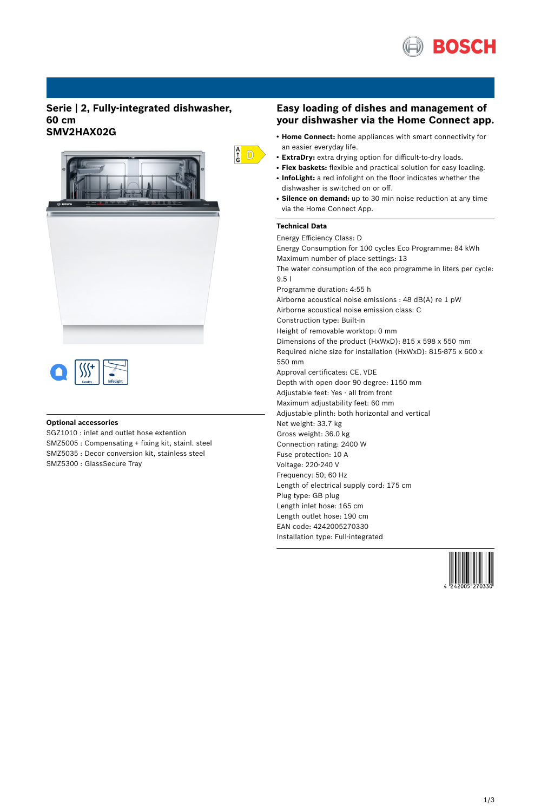

## **Serie | 2, Fully-integrated dishwasher, 60 cm SMV2HAX02G**





### **Optional accessories**

SGZ1010 : inlet and outlet hose extention SMZ5005 : Compensating + fixing kit, stainl. steel SMZ5035 : Decor conversion kit, stainless steel SMZ5300 : GlassSecure Tray

### **Easy loading of dishes and management of your dishwasher via the Home Connect app.**

- **Home Connect:** home appliances with smart connectivity for an easier everyday life.
- **ExtraDry:** extra drying option for difficult-to-dry loads.
- **Flex baskets:** flexible and practical solution for easy loading.
- InfoLight: a red infolight on the floor indicates whether the dishwasher is switched on or off.
- Silence on demand: up to 30 min noise reduction at any time via the Home Connect App.

#### **Technical Data**

 $\frac{A}{G}$  D

Energy Efficiency Class: D Energy Consumption for 100 cycles Eco Programme: 84 kWh Maximum number of place settings: 13 The water consumption of the eco programme in liters per cycle: 9.5 l Programme duration: 4:55 h Airborne acoustical noise emissions : 48 dB(A) re 1 pW Airborne acoustical noise emission class: C Construction type: Built-in Height of removable worktop: 0 mm Dimensions of the product (HxWxD): 815 x 598 x 550 mm Required niche size for installation (HxWxD): 815-875 x 600 x 550 mm Approval certificates: CE, VDE Depth with open door 90 degree: 1150 mm Adjustable feet: Yes - all from front Maximum adjustability feet: 60 mm Adjustable plinth: both horizontal and vertical Net weight: 33.7 kg Gross weight: 36.0 kg Connection rating: 2400 W Fuse protection: 10 A Voltage: 220-240 V Frequency: 50; 60 Hz Length of electrical supply cord: 175 cm Plug type: GB plug Length inlet hose: 165 cm Length outlet hose: 190 cm EAN code: 4242005270330 Installation type: Full-integrated

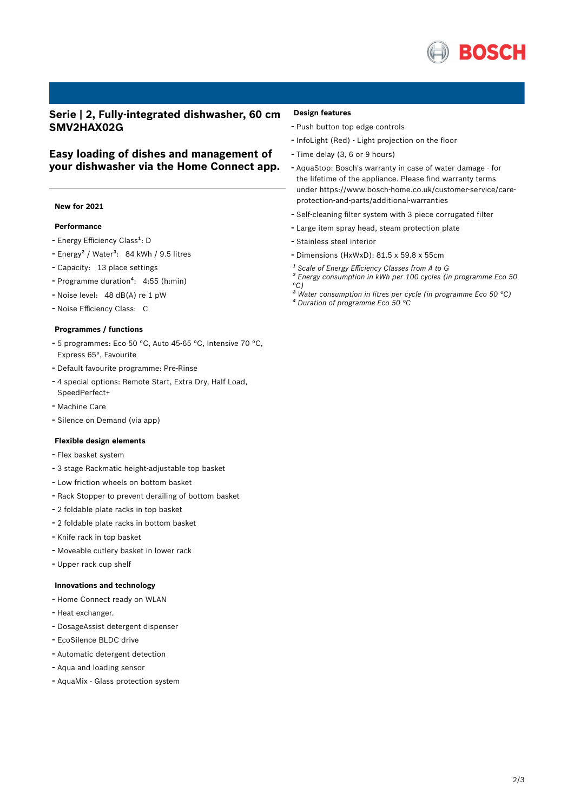

## **Serie | 2, Fully-integrated dishwasher, 60 cm SMV2HAX02G**

## **Easy loading of dishes and management of your dishwasher via the Home Connect app.**

### **New for 2021**

#### **Performance**

- Energy Efficiency Class<sup>1</sup>: D
- Energy<sup>2</sup> / Water<sup>3</sup>: 84 kWh / 9.5 litres
- Capacity: <sup>13</sup> place settings
- Programme duration<sup>4</sup>: 4:55 (h:min)
- Noise level: <sup>48</sup> dB(A) re <sup>1</sup> pW
- Noise Efficiency Class: <sup>C</sup>

#### **Programmes / functions**

- <sup>5</sup> programmes: Eco <sup>50</sup> °C, Auto 45-65 °C, Intensive <sup>70</sup> °C, Express 65°, Favourite
- Default favourite programme: Pre-Rinse
- <sup>4</sup> special options: Remote Start, Extra Dry, Half Load, SpeedPerfect+
- Machine Care
- Silence on Demand (via app)

#### **Flexible design elements**

#### - Flex basket system

- <sup>3</sup> stage Rackmatic height-adjustable top basket
- Low friction wheels on bottom basket
- Rack Stopper to prevent derailing of bottom basket
- <sup>2</sup> foldable plate racks in top basket
- <sup>2</sup> foldable plate racks in bottom basket
- Knife rack in top basket
- Moveable cutlery basket in lower rack
- Upper rack cup shelf

### **Innovations and technology**

- Home Connect ready on WLAN
- Heat exchanger.
- DosageAssist detergent dispenser
- EcoSilence BLDC drive
- Automatic detergent detection
- Aqua and loading sensor
- AquaMix Glass protection system

#### **Design features**

- Push button top edge controls
- InfoLight (Red) Light projection on the floor
- Time delay (3, <sup>6</sup> or <sup>9</sup> hours)
- AquaStop: Bosch's warranty in case of water damage for the lifetime of the appliance. Please find warranty terms under https://www.bosch-home.co.uk/customer-service/careprotection-and-parts/additional-warranties
- Self-cleaning filter system with <sup>3</sup> piece corrugated filter
- Large item spray head, steam protection plate
- Stainless steel interior
- Dimensions (HxWxD): 81.5 x 59.8 x 55cm
- *¹ Scale of Energy Efficiency Classes from A to G*
- *² Energy consumption in kWh per 100 cycles (in programme Eco 50 °C)*
- *³ Water consumption in litres per cycle (in programme Eco 50 °C) ⁴ Duration of programme Eco 50 °C*